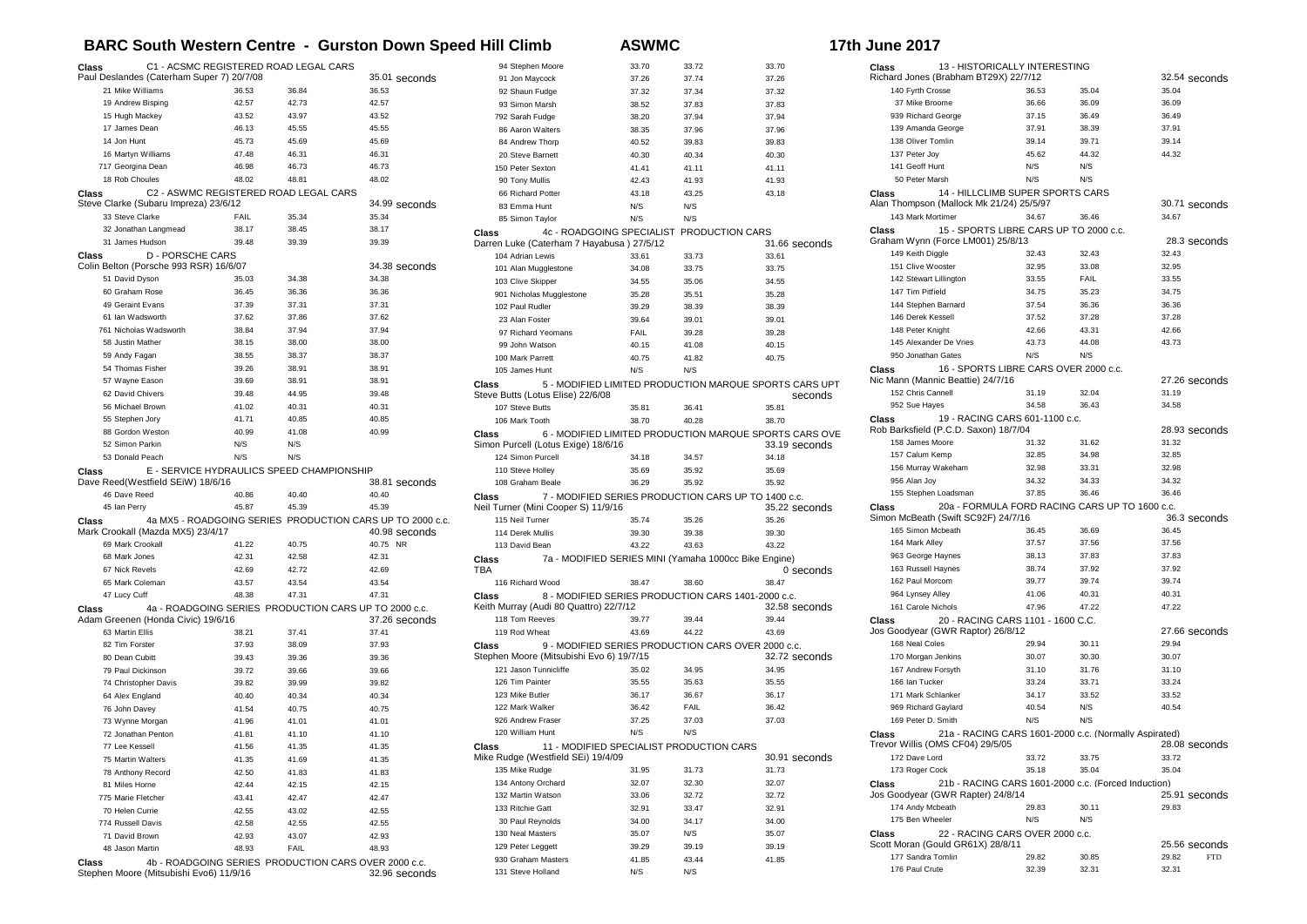## **BARC South Western Centre - Gurston Down Speed Hill Climb**  $\qquad$  **ASWMC**

| <b>17th June 2017</b> |  |
|-----------------------|--|
|-----------------------|--|

| C1 - ACSMC REGISTERED ROAD LEGAL CARS<br>Class<br>Paul Deslandes (Caterham Super 7) 20/7/08 |                |                                                       | 35.01 seconds                                             |              |
|---------------------------------------------------------------------------------------------|----------------|-------------------------------------------------------|-----------------------------------------------------------|--------------|
| 21 Mike Williams                                                                            | 36.53          | 36.84                                                 | 36.53                                                     |              |
| 19 Andrew Bisping                                                                           | 42.57          | 42.73                                                 | 42.57                                                     |              |
| 15 Hugh Mackey                                                                              | 43.52          | 43.97                                                 | 43.52                                                     |              |
| 17 James Dean                                                                               | 46.13          | 45.55                                                 | 45.55                                                     |              |
| 14 Jon Hunt                                                                                 | 45.73          | 45.69                                                 | 45.69                                                     |              |
| 16 Martyn Williams                                                                          | 47.48          | 46.31                                                 | 46.31                                                     |              |
| 717 Georgina Dean                                                                           | 46.98          | 46.73                                                 | 46.73                                                     |              |
| 18 Rob Choules                                                                              | 48.02          | 48.81                                                 | 48.02                                                     |              |
| Class                                                                                       |                | C2 - ASWMC REGISTERED ROAD LEGAL CARS                 |                                                           |              |
| Steve Clarke (Subaru Impreza) 23/6/12                                                       |                |                                                       | 34.99 seconds                                             |              |
| 33 Steve Clarke                                                                             | <b>FAIL</b>    | 35.34                                                 | 35.34                                                     |              |
| 32 Jonathan Langmead                                                                        | 38.17          | 38.45                                                 | 38.17                                                     | Clas         |
| 31 James Hudson                                                                             | 39.48          | 39.39                                                 | 39.39                                                     | Darı         |
| <b>D - PORSCHE CARS</b><br>Class                                                            |                |                                                       |                                                           |              |
| Colin Belton (Porsche 993 RSR) 16/6/07                                                      |                |                                                       | 34.38 seconds                                             |              |
| 51 David Dyson                                                                              | 35.03          | 34.38                                                 | 34.38                                                     |              |
| 60 Graham Rose                                                                              | 36.45          | 36.36                                                 | 36.36                                                     |              |
| 49 Geraint Evans<br>61 Ian Wadsworth                                                        | 37.39<br>37.62 | 37.31<br>37.86                                        | 37.31<br>37.62                                            |              |
| 761 Nicholas Wadsworth                                                                      | 38.84          | 37.94                                                 | 37.94                                                     |              |
| 58 Justin Mather                                                                            | 38.15          | 38.00                                                 | 38.00                                                     |              |
| 59 Andy Fagan                                                                               | 38.55          | 38.37                                                 | 38.37                                                     |              |
| 54 Thomas Fisher                                                                            | 39.26          | 38.91                                                 | 38.91                                                     |              |
| 57 Wayne Eason                                                                              | 39.69          | 38.91                                                 | 38.91                                                     |              |
| 62 David Chivers                                                                            | 39.48          | 44.95                                                 | 39.48                                                     | Clas<br>Stey |
| 56 Michael Brown                                                                            | 41.02          | 40.31                                                 | 40.31                                                     |              |
| 55 Stephen Jory                                                                             | 41.71          | 40.85                                                 | 40.85                                                     |              |
| 88 Gordon Weston                                                                            | 40.99          | 41.08                                                 | 40.99                                                     | Clas         |
| 52 Simon Parkin                                                                             | N/S            | N/S                                                   |                                                           | Sim          |
| 53 Donald Peach                                                                             | N/S            | N/S                                                   |                                                           |              |
|                                                                                             |                |                                                       |                                                           |              |
| Class                                                                                       |                |                                                       |                                                           |              |
| Dave Reed(Westfield SEiW) 18/6/16                                                           |                | E - SERVICE HYDRAULICS SPEED CHAMPIONSHIP             | 38.81 seconds                                             |              |
| 46 Dave Reed                                                                                | 40.86          | 40.40                                                 | 40.40                                                     | Clas         |
| 45 Ian Perry                                                                                | 45.87          | 45.39                                                 | 45.39                                                     | Neil         |
| Class                                                                                       |                |                                                       | 4a MX5 - ROADGOING SERIES PRODUCTION CARS UP TO 2000 c.c. |              |
| Mark Crookall (Mazda MX5) 23/4/17                                                           |                |                                                       | 40.98 seconds                                             |              |
| 69 Mark Crookall                                                                            | 41.22          | 40.75                                                 | 40.75 NR                                                  |              |
| 68 Mark Jones                                                                               | 42.31          | 42.58                                                 | 42.31                                                     | Clas         |
| 67 Nick Revels                                                                              | 42.69          | 42.72                                                 | 42.69                                                     | TBA          |
| 65 Mark Coleman                                                                             | 43.57          | 43.54                                                 | 43.54                                                     |              |
| 47 Lucy Cuff                                                                                | 48.38          | 47.31                                                 | 47.31                                                     | Clas         |
| Class                                                                                       |                | 4a - ROADGOING SERIES PRODUCTION CARS UP TO 2000 c.c. |                                                           | Keit         |
| Adam Greenen (Honda Civic) 19/6/16                                                          |                |                                                       | 37.26 seconds                                             |              |
| 63 Martin Ellis                                                                             | 38.21          | 37.41                                                 | 37.41                                                     |              |
| 82 Tim Forster                                                                              | 37.93          | 38.09                                                 | 37.93                                                     | Clas         |
| 80 Dean Cubitt                                                                              | 39.43          | 39.36                                                 | 39.36                                                     | Step         |
| 79 Paul Dickinson                                                                           | 39.72          | 39.66                                                 | 39.66                                                     |              |
| 74 Christopher Davis                                                                        | 39.82          | 39.99                                                 | 39.82                                                     |              |
| 64 Alex England                                                                             | 40.40          | 40.34                                                 | 40.34                                                     |              |
| 76 John Davey<br>73 Wynne Morgan                                                            | 41.54          | 40.75                                                 | 40.75<br>41.01                                            |              |
| 72 Jonathan Penton                                                                          | 41.96<br>41.81 | 41.01<br>41.10                                        | 41.10                                                     |              |
| 77 Lee Kessell                                                                              | 41.56          | 41.35                                                 | 41.35                                                     | Clas         |
| 75 Martin Walters                                                                           | 41.35          | 41.69                                                 | 41.35                                                     | Mike         |
| 78 Anthony Record                                                                           | 42.50          | 41.83                                                 | 41.83                                                     |              |
| 81 Miles Horne                                                                              | 42.44          | 42.15                                                 | 42.15                                                     |              |
| 775 Marie Fletcher                                                                          | 43.41          | 42.47                                                 | 42.47                                                     |              |
| 70 Helen Currie                                                                             | 42.55          | 43.02                                                 | 42.55                                                     |              |
| 774 Russell Davis                                                                           | 42.58          | 42.55                                                 | 42.55                                                     |              |
| 71 David Brown                                                                              | 42.93          | 43.07                                                 | 42.93                                                     |              |
| 48 Jason Martin                                                                             | 48.93          | <b>FAIL</b>                                           | 48.93                                                     |              |
| Class<br>Stephen Moore (Mitsubishi Evo6) 11/9/16                                            |                | 4b - ROADGOING SERIES PRODUCTION CARS OVER 2000 c.c.  |                                                           |              |

| 94 Stephen Moore                        |                                                        |              |              |               |
|-----------------------------------------|--------------------------------------------------------|--------------|--------------|---------------|
|                                         |                                                        | 33.70        | 33.72        | 33.70         |
| 91 Jon Maycock                          |                                                        | 37.26        | 37.74        | 37.26         |
| 92 Shaun Fudge                          |                                                        | 37.32        | 37.34        | 37.32         |
| 93 Simon Marsh                          |                                                        | 38.52        | 37.83        | 37.83         |
| 792 Sarah Fudge                         |                                                        | 38.20        | 37.94        | 37.94         |
| 86 Aaron Walters                        |                                                        | 38.35        | 37.96        | 37.96         |
| 84 Andrew Thorp                         |                                                        | 40.52        | 39.83        | 39.83         |
| 20 Steve Barnett                        |                                                        | 40.30        | 40.34        | 40.30         |
| 150 Peter Sexton                        |                                                        | 41.41        | 41.11        | 41.11         |
|                                         |                                                        |              |              |               |
| 90 Tony Mullis                          |                                                        | 42.43        | 41.93        | 41.93         |
| 66 Richard Potter                       |                                                        | 43.18        | 43.25        | 43.18         |
| 83 Emma Hunt                            |                                                        | N/S          | N/S          |               |
| 85 Simon Taylor                         |                                                        | N/S          | N/S          |               |
| Class                                   | 4c - ROADGOING SPECIALIST PRODUCTION CARS              |              |              |               |
|                                         | Darren Luke (Caterham 7 Hayabusa) 27/5/12              |              |              | 31.66 seconds |
| 104 Adrian Lewis                        |                                                        | 33.61        | 33.73        | 33.61         |
| 101 Alan Mugglestone                    |                                                        | 34.08        | 33.75        | 33.75         |
| 103 Clive Skipper                       |                                                        | 34.55        | 35.06        | 34.55         |
|                                         | 901 Nicholas Mugglestone                               | 35.28        | 35.51        | 35.28         |
| 102 Paul Rudler                         |                                                        | 39.29        | 38.39        | 38.39         |
| 23 Alan Foster                          |                                                        | 39.64        | 39.01        | 39.01         |
|                                         | 97 Richard Yeomans                                     | <b>FAIL</b>  | 39.28        | 39.28         |
|                                         |                                                        |              |              |               |
| 99 John Watson                          |                                                        | 40.15        | 41.08        | 40.15         |
| 100 Mark Parrett                        |                                                        | 40.75        | 41.82        | 40.75         |
| 105 James Hunt                          |                                                        | N/S          | N/S          |               |
| Class                                   | 5 - MODIFIED LIMITED PRODUCTION MARQUE SPORTS CARS UPT |              |              |               |
|                                         | Steve Butts (Lotus Elise) 22/6/08                      |              |              | seconds       |
| 107 Steve Butts                         |                                                        | 35.81        | 36.41        | 35.81         |
| 106 Mark Tooth                          |                                                        | 38.70        | 40.28        | 38.70         |
| Class                                   | 6 - MODIFIED LIMITED PRODUCTION MARQUE SPORTS CARS OVE |              |              |               |
|                                         | Simon Purcell (Lotus Exige) 18/6/16                    |              |              | 33.19 seconds |
| 124 Simon Purcell                       |                                                        | 34.18        | 34.57        | 34.18         |
| 110 Steve Holley                        |                                                        | 35.69        | 35.92        | 35.69         |
| 108 Graham Beale                        |                                                        |              | 35.92        |               |
|                                         |                                                        | 36.29        |              | 35.92         |
| Class                                   | 7 - MODIFIED SERIES PRODUCTION CARS UP TO 1400 c.c.    |              |              |               |
|                                         | Neil Turner (Mini Cooper S) 11/9/16                    |              |              | 35.22 seconds |
| 115 Neil Turner                         |                                                        | 35.74        | 35.26        | 35.26         |
| 114 Derek Mullis                        |                                                        | 39.30        | 39.38        | 39.30         |
| 113 David Bean                          |                                                        | 43.22        | 43.63        | 43.22         |
| Class                                   | 7a - MODIFIED SERIES MINI (Yamaha 1000cc Bike Engine)  |              |              |               |
| TBA                                     |                                                        |              |              |               |
| 116 Richard Wood                        |                                                        |              |              | $0$ seconds   |
|                                         |                                                        | 38.47        | 38.60        | 38.47         |
|                                         |                                                        |              |              |               |
|                                         | 8 - MODIFIED SERIES PRODUCTION CARS 1401-2000 c.c.     |              |              |               |
|                                         | Keith Murray (Audi 80 Quattro) 22/7/12                 |              |              | 32.58 seconds |
| 118 Tom Reeves                          |                                                        | 39.77        | 39.44        | 39.44         |
| 119 Rod Wheat                           |                                                        | 43.69        | 44.22        | 43.69         |
| Class<br>Class                          | 9 - MODIFIED SERIES PRODUCTION CARS OVER 2000 c.c.     |              |              |               |
|                                         | Stephen Moore (Mitsubishi Evo 6) 19/7/15               |              |              | 32.72 seconds |
| 121 Jason Tunnicliffe                   |                                                        | 35.02        | 34.95        | 34.95         |
| 126 Tim Painter                         |                                                        | 35.55        | 35.63        | 35.55         |
| 123 Mike Butler                         |                                                        | 36.17        | 36.67        | 36.17         |
| 122 Mark Walker                         |                                                        | 36.42        | FAIL         | 36.42         |
| 926 Andrew Fraser                       |                                                        | 37.25        | 37.03        | 37.03         |
| 120 William Hunt                        |                                                        | N/S          | N/S          |               |
|                                         |                                                        |              |              |               |
| Class                                   | 11 - MODIFIED SPECIALIST PRODUCTION CARS               |              |              |               |
|                                         | Mike Rudge (Westfield SEi) 19/4/09                     |              |              | 30.91 seconds |
| 135 Mike Rudge                          |                                                        | 31.95        | 31.73        | 31.73         |
| 134 Antony Orchard                      |                                                        | 32.07        | 32.30        | 32.07         |
| 132 Martin Watson                       |                                                        | 33.06        | 32.72        | 32.72         |
| 133 Ritchie Gatt                        |                                                        | 32.91        | 33.47        | 32.91         |
| 30 Paul Reynolds                        |                                                        | 34.00        | 34.17        | 34.00         |
| 130 Neal Masters                        |                                                        | 35.07        | N/S          | 35.07         |
| 129 Peter Leggett                       |                                                        | 39.29        | 39.19        | 39.19         |
|                                         |                                                        |              |              |               |
| 930 Graham Masters<br>131 Steve Holland |                                                        | 41.85<br>N/S | 43.44<br>N/S | 41.85         |

| 13 - HISTORICALLY INTERESTING<br>Class                                               |       |                                                       |                                      |
|--------------------------------------------------------------------------------------|-------|-------------------------------------------------------|--------------------------------------|
| Richard Jones (Brabham BT29X) 22/7/12                                                |       |                                                       | 32.54 seconds                        |
| 140 Fyrth Crosse                                                                     | 36.53 | 35.04                                                 | 35.04                                |
| 37 Mike Broome                                                                       | 36.66 | 36.09                                                 | 36.09                                |
| 939 Richard George                                                                   | 37.15 | 36.49                                                 | 36.49                                |
| 139 Amanda George                                                                    | 37.91 | 38.39                                                 | 37.91                                |
| 138 Oliver Tomlin                                                                    | 39.14 | 39.71                                                 | 39.14                                |
| 137 Peter Joy                                                                        | 45.62 | 44.32                                                 | 44.32                                |
| 141 Geoff Hunt                                                                       | N/S   | N/S                                                   |                                      |
| 50 Peter Marsh                                                                       | N/S   | N/S                                                   |                                      |
| 14 - HILLCLIMB SUPER SPORTS CARS<br>Class                                            |       |                                                       |                                      |
| Alan Thompson (Mallock Mk 21/24) 25/5/97<br>143 Mark Mortimer                        |       |                                                       | 30.71 seconds                        |
|                                                                                      | 34.67 | 36.46                                                 | 34.67                                |
| 15 - SPORTS LIBRE CARS UP TO 2000 c.c.<br>Class<br>Graham Wynn (Force LM001) 25/8/13 |       |                                                       | 28.3 seconds                         |
| 149 Keith Diggle                                                                     | 32.43 | 32.43                                                 | 32.43                                |
| 151 Clive Wooster                                                                    | 32.95 | 33.08                                                 | 32.95                                |
| 142 Stewart Lillington                                                               | 33.55 | FAIL                                                  | 33.55                                |
| 147 Tim Pitfield                                                                     | 34.75 | 35.23                                                 | 34.75                                |
| 144 Stephen Barnard                                                                  | 37.54 | 36.36                                                 | 36.36                                |
| 146 Derek Kessell                                                                    | 37.52 | 37.28                                                 | 37.28                                |
| 148 Peter Knight                                                                     | 42.66 | 43.31                                                 | 42.66                                |
| 145 Alexander De Vries                                                               | 43.73 | 44.08                                                 | 43.73                                |
| 950 Jonathan Gates                                                                   | N/S   | N/S                                                   |                                      |
| 16 - SPORTS LIBRE CARS OVER 2000 c.c.<br>Class                                       |       |                                                       |                                      |
| Nic Mann (Mannic Beattie) 24/7/16                                                    |       |                                                       | 27.26 seconds                        |
| 152 Chris Cannell                                                                    | 31.19 | 32.04                                                 | 31.19                                |
| 952 Sue Hayes                                                                        | 34.58 | 36.43                                                 | 34.58                                |
| 19 - RACING CARS 601-1100 c.c.<br>Class                                              |       |                                                       |                                      |
| Rob Barksfield (P.C.D. Saxon) 18/7/04                                                |       |                                                       | 28.93 seconds                        |
| 158 James Moore                                                                      | 31.32 | 31.62                                                 | 31.32                                |
| 157 Calum Kemp                                                                       | 32.85 | 34.98                                                 | 32.85                                |
| 156 Murray Wakeham                                                                   | 32.98 | 33.31                                                 | 32.98                                |
| 956 Alan Joy                                                                         | 34.32 | 34.33                                                 | 34.32                                |
| 155 Stephen Loadsman                                                                 | 37.85 | 36.46                                                 | 36.46                                |
| Class                                                                                |       | 20a - FORMULA FORD RACING CARS UP TO 1600 c.c.        |                                      |
| Simon McBeath (Swift SC92F) 24/7/16                                                  |       |                                                       | 36.3 seconds                         |
| 165 Simon Mcbeath                                                                    | 36.45 | 36.69                                                 | 36.45                                |
| 164 Mark Alley                                                                       | 37.57 | 37.56                                                 | 37.56                                |
| 963 George Haynes                                                                    | 38.13 | 37.83                                                 | 37.83                                |
| 163 Russell Haynes                                                                   | 38.74 | 37.92                                                 | 37.92                                |
| 162 Paul Morcom                                                                      | 39.77 | 39.74                                                 | 39.74                                |
| 964 Lynsey Alley                                                                     | 41.06 | 40.31                                                 |                                      |
| 161 Carole Nichols                                                                   |       |                                                       | 40.31                                |
|                                                                                      | 47.96 | 47.22                                                 | 47.22                                |
| 20 - RACING CARS 1101 - 1600 C.C.<br>Class                                           |       |                                                       |                                      |
| Jos Goodyear (GWR Raptor) 26/8/12                                                    |       |                                                       | 27.66 seconds                        |
| 168 Neal Coles                                                                       | 29.94 | 30.11                                                 | 29.94                                |
| 170 Morgan Jenkins                                                                   | 30.07 | 30.30                                                 | 30.07                                |
| 167 Andrew Forsyth                                                                   | 31.10 | 31.76                                                 | 31.10                                |
| 166 Ian Tucker                                                                       | 33.24 | 33.71                                                 | 33.24                                |
| 171 Mark Schlanker                                                                   | 34.17 | 33.52                                                 | 33.52                                |
| 969 Richard Gaylard                                                                  | 40.54 | N/S                                                   | 40.54                                |
| 169 Peter D. Smith                                                                   | N/S   | N/S                                                   |                                      |
| Class                                                                                |       | 21a - RACING CARS 1601-2000 c.c. (Normally Aspirated) |                                      |
| Trevor Willis (OMS CF04) 29/5/05                                                     |       |                                                       | 28.08 seconds                        |
| 172 Dave Lord                                                                        | 33.72 | 33.75                                                 | 33.72                                |
| 173 Roger Cock                                                                       | 35.18 | 35.04                                                 | 35.04                                |
| Class                                                                                |       | 21b - RACING CARS 1601-2000 c.c. (Forced Induction)   |                                      |
| Jos Goodyear (GWR Rapter) 24/8/14                                                    |       |                                                       | 25.91 seconds                        |
| 174 Andy Mcbeath                                                                     | 29.83 | 30.11                                                 | 29.83                                |
| 175 Ben Wheeler                                                                      | N/S   | N/S                                                   |                                      |
| 22 - RACING CARS OVER 2000 c.c.<br>Class                                             |       |                                                       |                                      |
| Scott Moran (Gould GR61X) 28/8/11<br>177 Sandra Tomlin                               | 29.82 | 30.85                                                 | 25.56 seconds<br>29.82<br><b>FTD</b> |